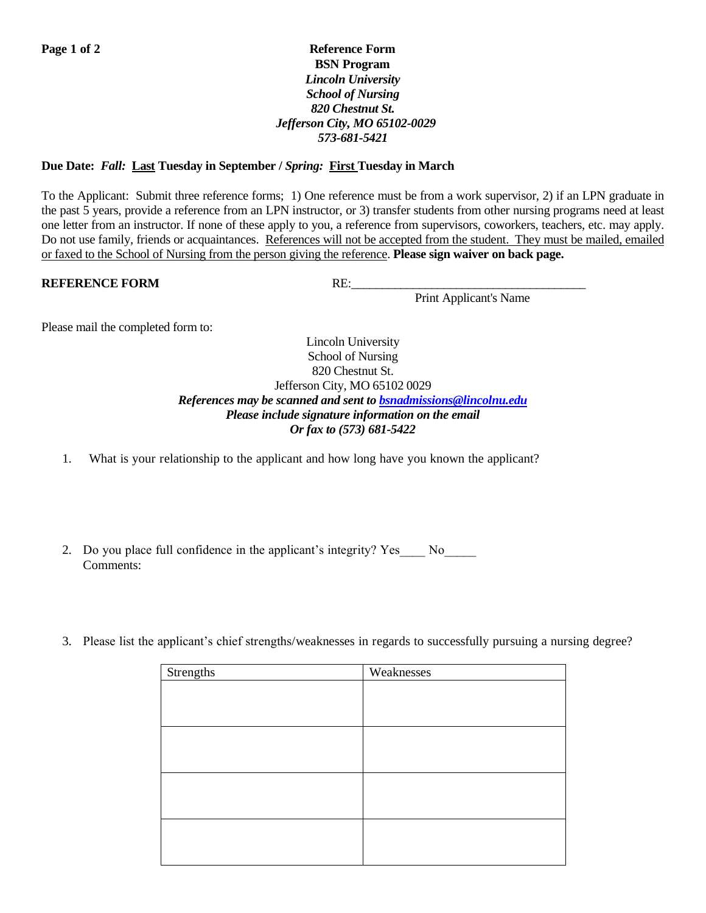## **Page 1 of 2** Reference Form  **BSN Program** *Lincoln University School of Nursing 820 Chestnut St. Jefferson City, MO 65102-0029 573-681-5421*

## **Due Date:** *Fall:* **Last Tuesday in September /** *Spring:* **First Tuesday in March**

To the Applicant: Submit three reference forms; 1) One reference must be from a work supervisor, 2) if an LPN graduate in the past 5 years, provide a reference from an LPN instructor, or 3) transfer students from other nursing programs need at least one letter from an instructor. If none of these apply to you, a reference from supervisors, coworkers, teachers, etc. may apply. Do not use family, friends or acquaintances. References will not be accepted from the student. They must be mailed, emailed or faxed to the School of Nursing from the person giving the reference. **Please sign waiver on back page.**

## **REFERENCE FORM** RE:

Print Applicant's Name

Please mail the completed form to:

Lincoln University School of Nursing 820 Chestnut St. Jefferson City, MO 65102 0029 *References may be scanned and sent to [bsnadmissions@lincolnu.edu](mailto:bsnadmissions@lincolnu.edu) Please include signature information on the email Or fax to (573) 681-5422*

- 1. What is your relationship to the applicant and how long have you known the applicant?
- 2. Do you place full confidence in the applicant's integrity? Yes No Comments:
- 3. Please list the applicant's chief strengths/weaknesses in regards to successfully pursuing a nursing degree?

| Strengths | Weaknesses |
|-----------|------------|
|           |            |
|           |            |
|           |            |
|           |            |
|           |            |
|           |            |
|           |            |
|           |            |
|           |            |
|           |            |
|           |            |
|           |            |